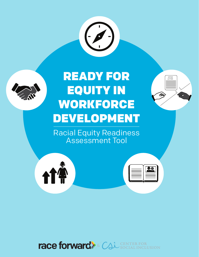



# READY FOR EQUITY IN WORKFORCE DEVELOPMENT

Racial Equity Readiness Assessment Tool





| ۰ |  |
|---|--|
|   |  |
|   |  |

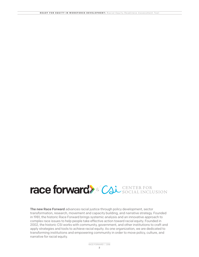# race forward > Cal SOCIAL INCLUSION

The new Race Forward advances racial justice through policy development, sector transformation, research, movement and capacity building, and narrative strategy. Founded in 1981, the historic Race Forward brings systemic analysis and an innovative approach to complex race issues to help people take effective action toward racial equity. Founded in 2002, the historic CSI works with community, government, and other institutions to craft and apply strategies and tools to achieve racial equity. As one organization, we are dedicated to transforming institutions and empowering community in order to move policy, culture, and narrative for racial equity.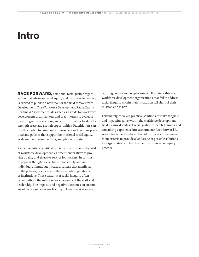### Intro

**RACE FORWARD,** a national racial justice organization that advances racial equity and inclusive democracy, is excited to publish a new tool for the field of Workforce Development. The Workforce Development Racial Equity Readiness Assessment is designed as a guide for workforce development organizations and practitioners to evaluate their programs, operations, and culture in order to identify strength areas and growth opportunities. Practitioners can use this toolkit to familiarize themselves with various practices and policies that support institutional racial equity, evaluate their current efforts, and plan action steps.

Racial inequity is a critical barrier and outcome in the field of workforce development, as practitioners strive to provide quality and effective service for workers. In contrast to popular thought, racial bias is not simply an issue of individual animus, but instead a pattern that manifests in the policies, practices and then everyday operations of institutions. These patterns of racial inequity often occur without the intention or awareness of the staff and leadership. The impacts and negative outcomes on customers of color can be severe, leading to lower service access,

training quality and job placement. Ultimately, this means workforce development organizations that fail to address racial inequity within their institution fall short of their mission and vision.

Fortunately, there are practical solutions to make tangible and impactful gains within the workforce development field. Taking decades of racial justice research, training and consulting experience into account, our Race Forward Research team has developed the following readiness assessment criteria to provide a landscape of possible solutions for organizations to lean further into their racial equity practice.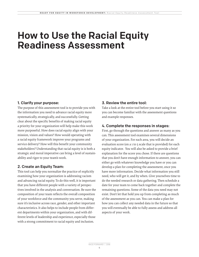### How to Use the Racial Equity Readiness Assessment

### 1. Clarify your purpose:

The purpose of this assessment tool is to provide you with the information you need to advance racial equity more systematically, strategically, and successfully. Getting clear about the specific benefits of making racial equity a priority for your organization will help make this work more purposeful. How does racial equity align with your mission, vision and values? How would operating with a racial equity framework improve your programs and service delivery? How will this benefit your community stakeholders? Understanding that racial equity is is both a strategic and moral imperative can bring a level of sustainability and rigor to your team's work.

#### 2. Create an Equity Team:

This tool can help you normalize the practice of explicitly examining how your organization is addressing racism and advancing racial equity. To do this well, it is important that you have different people with a variety of perspectives involved in the analysis and conversation. Be sure the composition of your team reflects the overall composition of your workforce and the community you serve, making sure it's inclusive across race, gender, and other important characteristics. It also helps to include people from different departments within your organization, and with different levels of leadership and experience, especially those with a strong commitment to racial equity and inclusion.

### 3. Review the entire tool:

Take a look at the entire tool before you start using it so you can become familiar with the assessment questions and example responses.

### 4. Complete the responses in stages:

First, go through the questions and answer as many as you can. This assessment tool examines several dimensions of your organization. For each area, you will decide an evaluation score (on a 1 to 5 scale that is provided) for each equity indicator. You will also be asked to provide a brief explanation for the score you chose. If there are questions that you don't have enough information to answer, you can either go with whatever knowledge you have or you can develop a plan for completing the assessment, once you have more information. Decide what information you still need, who will get it, and by when. Give yourselves time to do the needed research or data gathering. Then schedule a date for your team to come back together and complete the remaining questions. Some of the data you need may not exist. Don't let that hold you up from completing as much of the assessment as you can. You can make a plan for how you can collect any needed data in the future so that you will eventually be able to fully assess and address all aspects of your work.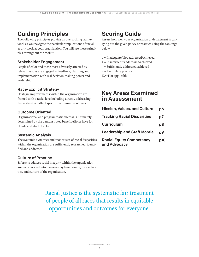### Guiding Principles

The following principles provide an overarching framework as you navigate the particular implications of racial equity work at your organization. You will see these principles throughout the toolkit.

#### Stakeholder Engagement

People of color and those most adversely affected by relevant issues are engaged in feedback, planning and implementation with real decision-making power and leadership.

### Race-Explicit Strategy

Strategic improvements within the organization are framed with a racial lens including directly addressing disparities that affect specific communities of color.

#### Outcome Oriented

Organizational and programmatic success is ultimately determined by the demonstrated benefit efforts have for clients and staff of color.

#### Systemic Analysis

The systemic dynamics and root causes of racial disparities within the organization are sufficiently researched, identified and addressed.

### Culture of Practice

Efforts to address racial inequity within the organization are incorporated into the everyday functioning, core activities, and culture of the organization.

Assess how well your organization or department is carrying out the given policy or practice using the rankings below.

- 1 = Inadequate/Not addressed/achieved
- 2 = Insufficiently addressed/achieved
- 3 = Sufficiently addressed/achieved
- 4 = Exemplary practice

### Key Areas Examined in Assessment

| ie-<br>ıcial<br>rinci- | <b>Scoring Guide</b><br>Assess how well your organization or departme:<br>rying out the given policy or practice using the :<br>below.                                   |     |
|------------------------|--------------------------------------------------------------------------------------------------------------------------------------------------------------------------|-----|
| l<br>d                 | 1 = Inadequate/Not addressed/achieved<br>$2 =$ Insufficiently addressed/achieved<br>3 = Sufficiently addressed/achieved<br>$4$ = Exemplary practice<br>NA=Not applicable |     |
| g                      | <b>Key Areas Examined</b><br>in Assessment                                                                                                                               |     |
|                        | <b>Mission, Values, and Culture</b>                                                                                                                                      | p6  |
| !y                     | <b>Tracking Racial Disparities</b>                                                                                                                                       | p7  |
| for                    | <b>Curriculum</b>                                                                                                                                                        | p8  |
|                        | <b>Leadership and Staff Morale</b>                                                                                                                                       | p9  |
| arities<br>lenti-      | <b>Racial Equity Competency</b><br>and Advocacy                                                                                                                          | p10 |
| ion<br>activi-         |                                                                                                                                                                          |     |
|                        | e systematic fair treatment<br>tes that results in equitable<br>d outcomes for everyone.                                                                                 |     |
| RACE FORWARD           | 2016                                                                                                                                                                     |     |

Racial Justice is the systematic fair treatment of people of all races that results in equitable opportunities and outcomes for everyone.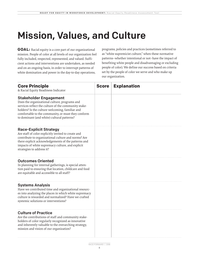### Mission, Values, and Culture

**GOAL:** Racial equity is a core part of our organizational mission. People of color at all levels of our organization feel fully included, respected, represented, and valued. Sufficient actions and interventions are undertaken, as needed and on an ongoing basis, in order to interrupt patterns of white domination and power in the day-to-day operations,

programs, policies and practices (sometimes referred to as "white supremicist culture," when these normative patterns--whether intentional or not--have the impact of benefiting white people and disadvantaging or excluding people of color). We define our success based on criteria set by the people of color we serve and who make up our organization.

| <b>Core Principle</b><br>& Racial Equity Readiness Indicator                                                                                                                                                                                                                                  | <b>Score</b> | <b>Explanation</b> |
|-----------------------------------------------------------------------------------------------------------------------------------------------------------------------------------------------------------------------------------------------------------------------------------------------|--------------|--------------------|
| <b>Stakeholder Engagement</b><br>Does the organizational culture, programs and<br>services reflect the culture of the community stake-<br>holders? Is the culture welcoming, familiar and<br>comfortable to the community, or must they conform<br>to dominant (and white) cultural patterns? |              |                    |
| <b>Race-Explicit Strategy</b><br>Are staff of color explicitly invited to create and<br>contribute to organizational culture and norms? Are<br>there explicit acknowledgements of the patterns and<br>impacts of white supremacy culture, and explicit<br>strategies to address it?           |              |                    |
| <b>Outcomes Oriented</b><br>In planning for internal gatherings, is special atten-<br>tion paid to ensuring that location, childcare and food<br>are equitable and accessible to all staff?                                                                                                   |              |                    |
| <b>Systems Analysis</b><br>Have we contributed time and organizational resourc-<br>es into analyzing the places in which white supremacy<br>culture is rewarded and normalized? Have we crafted<br>systemic solutions or interventions?                                                       |              |                    |
| <b>Culture of Practice</b><br>Are the contributions of staff and community stake-<br>holders of color regularly recognized as innovative<br>and inherently valuable to the overarching strategy,<br>mission and vision of our organization?                                                   |              |                    |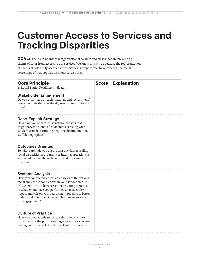### Customer Access to Services and Tracking Disparities

**GOAL:** There are no internal organizational barriers and biases that are preventing clients of color from accessing our services. We know this is true because the representation of clients of color fully accessing our services is proportional to, or exceeds, the racial percentage of that population in our service area.

| <b>Core Principle</b><br>& Racial Equity Readiness Indicator                                                                                                                                                                                                                                                                                                                                | <b>Score</b> | <b>Explanation</b> |
|---------------------------------------------------------------------------------------------------------------------------------------------------------------------------------------------------------------------------------------------------------------------------------------------------------------------------------------------------------------------------------------------|--------------|--------------------|
| <b>Stakeholder Engagement</b><br>Do you prioritize outreach materials and recruitment/<br>referral outlets that specifically reach communities of<br>color?                                                                                                                                                                                                                                 |              |                    |
| <b>Race-Explicit Strategy</b><br>How have you addressed structural barriers that<br>might prevent clients of color from accessing your<br>services (consider funding, required documentation,<br>staff demographics)?                                                                                                                                                                       |              |                    |
| <b>Outcomes Oriented</b><br>To what extent do you ensure that any data revealing<br>racial disparities in programs or internal operations is<br>addressed concretely, sufficiently and in a timely<br>manner?                                                                                                                                                                               |              |                    |
| <b>Systems Analysis</b><br>Have you conducted a detailed analysis of the various<br>racial and ethnic populations in your service area? If<br>POC clients are underrepresented in your programs,<br>to what extent have you performed a racial equity<br>impact analysis on your recruitment pipeline to better<br>understand potential biases and barriers to entry or<br>full engagement? |              |                    |
| <b>Culture of Practice</b><br>Have you created infrastructure that allows you to<br>truly measure the positive or negative impact you are<br>having on the lives of the clients of color you serve?                                                                                                                                                                                         |              |                    |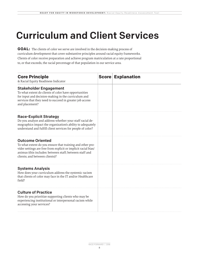## Curriculum and Client Services

**GOAL:** The clients of color we serve are involved in the decision-making process of curriculum development that cover substantive principles around racial equity frameworks. Clients of color receive preparation and achieve program matriculation at a rate proportional to, or that exceeds, the racial percentage of that population in our service area.

| <b>Core Principle</b><br>& Racial Equity Readiness Indicator                                                                                                                                                                                        | <b>Score Explanation</b> |
|-----------------------------------------------------------------------------------------------------------------------------------------------------------------------------------------------------------------------------------------------------|--------------------------|
| <b>Stakeholder Engagement</b><br>To what extent do clients of color have opportunities<br>for input and decision-making in the curriculum and<br>services that they need to succeed in greater job access<br>and placement?                         |                          |
| <b>Race-Explicit Strategy</b><br>Do you analyze and address whether your staff racial de-<br>mographics impact the organization's ability to adequately<br>understand and fulfill client services for people of color?                              |                          |
| <b>Outcome Oriented</b><br>To what extent do you ensure that training and other pro-<br>vider settings are free from explicit or implicit racial bias/<br>animus (this includes: between staff; between staff and<br>clients; and between clients)? |                          |
| <b>Systems Analysis</b><br>How does your curriculum address the systemic racism<br>that clients of color may face in the IT and/or Healthcare<br>field?                                                                                             |                          |
| <b>Culture of Practice</b><br>How do you prioritize supporting clients who may be<br>experiencing institutional or interpersonal racism while<br>accessing your services?                                                                           |                          |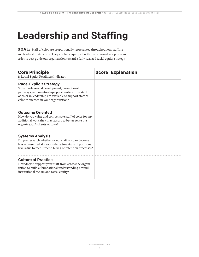### Leadership and Staffing

**GOAL:** Staff of color are proportionally represented throughout our staffing and leadership structure. They are fully equipped with decision-making power in order to best guide our organization toward a fully realized racial equity strategy.

| <b>Core Principle</b><br>& Racial Equity Readiness Indicator                                                                                                                                                                           | <b>Score Explanation</b> |
|----------------------------------------------------------------------------------------------------------------------------------------------------------------------------------------------------------------------------------------|--------------------------|
| <b>Race-Explicit Strategy</b><br>What professional development, promotional<br>pathways, and mentorship opportunities from staff<br>of color in leadership are available to support staff of<br>color to succeed in your organization? |                          |
| <b>Outcome Oriented</b><br>How do you value and compensate staff of color for any<br>additional work they may absorb to better serve the<br>organization's clients of color?                                                           |                          |
| <b>Systems Analysis</b><br>Do you research whether or not staff of color become<br>less represented at various departmental and positional<br>levels due to recruitment, hiring or retention processes?                                |                          |
| <b>Culture of Practice</b><br>How do you support your staff from across the organi-<br>zation to build a foundational understanding around<br>institutional racism and racial equity?                                                  |                          |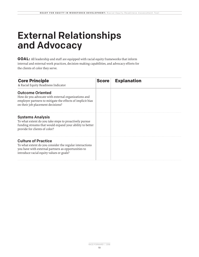### External Relationships and Advocacy

**GOAL:** All leadership and staff are equipped with racial equity frameworks that inform internal and external work practices, decision-making capabilities, and advocacy efforts for the clients of color they serve.

| <b>Core Principle</b><br>& Racial Equity Readiness Indicator                                                                                                                             | <b>Score</b> | <b>Explanation</b> |
|------------------------------------------------------------------------------------------------------------------------------------------------------------------------------------------|--------------|--------------------|
| <b>Outcome Oriented</b><br>How do you advocate with external organizations and<br>employer partners to mitigate the effects of implicit bias<br>on their job placement decisions?        |              |                    |
| <b>Systems Analysis</b><br>To what extent do you take steps to proactively pursue<br>funding streams that would expand your ability to better<br>provide for clients of color?           |              |                    |
| <b>Culture of Practice</b><br>To what extent do you consider the regular interactions<br>you have with external partners as opportunities to<br>introduce racial equity values or goals? |              |                    |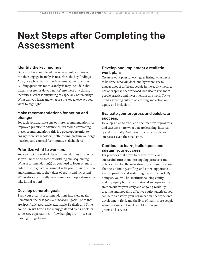### Next Steps after Completing the Assessment

#### Identify the key findings:

Once you have completed the assessment, your team can then engage in analysis to surface the key findings. Analyze each section of the Assessment, one at a time. Guiding questions for this analysis may include: What patterns or trends do you notice? Are there any glaring inequities? What is surprising or especially noteworthy? What can you learn and what are the key takeaways you want to highlight?

### Make recommendations for action and change:

For each section, make one or more recommendations for improved practice to advance equity. When developing these recommendations, this is a good opportunity to engage more stakeholders, both internal (within your organization) and external (community stakeholders).

#### Prioritize what to work on.

You can't act upon all of the recommendations all at once, so you'll need to do some prioritizing and sequencing. What recommendation(s) do you need to focus on most in order to be in greater alignment with your mission, vision, and commitment to the values of equity and inclusion? Where do you currently have resources or opportunities to take initial action?

### Develop concrete goals:

Turn your priority recommendations into clear goals. Remember, the best goals are "SMART" goals—ones that are Specific, Measureable, Attainable, Realistic and Timebound. Resist having too many goals and plans. Look for some easy opportunities— "low hanging fruit" —to start moving things forward.

### Develop and implement a realistic work plan:

Create a work plan for each goal, listing what needs to be done, who will do it, and by when? Try to engage a lot of different people in the equity work, to not only spread the workload, but also to give more people practice and investment in this work. Try to build a growing culture of learning and action on equity and inclusion.

### Evaluate your progress and celebrate success.

Develop a plan to track and document your progress and success. Share what you are learning, internally and externally. And make time to celebrate your successes, even the small ones.

### Continue to learn, build upon, and sustain your success.

For practices that prove to be worthwhile and successful, turn them into ongoing protocols and policies. Develop the infrastructure, communication channels, funding, staffing, and other supports to keep expanding and sustaining the equity work. By doing so, you will be "institutionalizing equity" making equity both an aspirational and operational framework for your daily and ongoing work. By creating and modeling effective equity practices, you can help transform your organization, the workforce development field, and the lives of many more people who can gain additional benefits from your programs and services.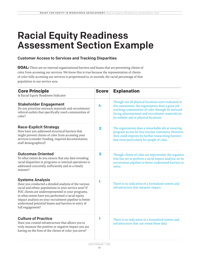### Racial Equity Readiness Assessment Section Example

### Customer Access to Services and Tracking Disparities

**GOAL:** There are no internal organizational barriers and biases that are preventing clients of color from accessing our services. We know this is true because the representation of clients of color fully accessing our services is proportional to, or exceeds, the racial percentage of that population in our service area.

| <b>Core Principle</b><br>& Racial Equity Readiness Indicator                                                                                                                                                                                                                                                                                                                                | <b>Score</b>            | <b>Explanation</b>                                                                                                                                                                                                                                            |
|---------------------------------------------------------------------------------------------------------------------------------------------------------------------------------------------------------------------------------------------------------------------------------------------------------------------------------------------------------------------------------------------|-------------------------|---------------------------------------------------------------------------------------------------------------------------------------------------------------------------------------------------------------------------------------------------------------|
| <b>Stakeholder Engagement</b><br>Do you prioritize outreach materials and recruitment/<br>referral outlets that specifically reach communities of<br>color?                                                                                                                                                                                                                                 | 4                       | Though not all physical locations were evaluated in<br>this assessment, the organization does a great job<br>reaching communities of color through its outward<br>facing advertisement and recruitment materials on<br>its website and at physical locations. |
| <b>Race-Explicit Strategy</b><br>How have you addressed structural barriers that<br>might prevent clients of color from accessing your<br>services (consider funding, required documentation,<br>staff demographics)?                                                                                                                                                                       | $\overline{\mathbf{3}}$ | The organization does a remarkable job at ensuring<br>program access for low-income customers. However,<br>they could improve by further researching barriers<br>that exist particularly for people of color.                                                 |
| <b>Outcomes Oriented</b><br>To what extent do you ensure that any data revealing<br>racial disparities in programs or internal operations is<br>addressed concretely, sufficiently and in a timely<br>manner?                                                                                                                                                                               | $\overline{\mathbf{3}}$ | Though clients of color are represented, the organiza-<br>tion has yet to perform a racial impact analysis on its<br>recruitment pipeline to better understand barriers to<br>entry.                                                                          |
| <b>Systems Analysis</b><br>Have you conducted a detailed analysis of the various<br>racial and ethnic populations in your service area? If<br>POC clients are underrepresented in your programs,<br>to what extent have you performed a racial equity<br>impact analysis on your recruitment pipeline to better<br>understand potential biases and barriers to entry of<br>full engagement? | 1                       | There is no indication of a formalized system and<br>infrastructure that measure impact.                                                                                                                                                                      |
| <b>Culture of Practice</b><br>Have you created infrastructure that allows you to<br>truly measure the positive or negative impact you are<br>having on the lives of the clients of color you serve?                                                                                                                                                                                         | 1                       | There is no indication of a formalized system and<br>infrastructure that can reveal these data.                                                                                                                                                               |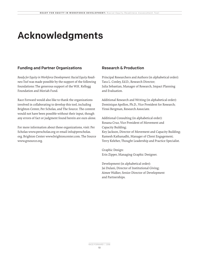### Acknowledgments

### Funding and Partner Organizations

*Ready for Equity in Workforce Development: Racial Equity Readiness Tool* was made possible by the support of the following foundations: The generous support of the W.K. Kellogg Foundation and Moriah Fund.

Race Forward would also like to thank the organizations involved in collaborating to develop this tool, including Brighton Center, Per Scholas, and The Source. The content would not have been possible without their input, though any errors of fact or judgment found herein are ours alone.

For more information about these organizations, visit: Per Scholas www.perscholas.org or email info@perscholas. org. Brighton Center www.brightoncenter.com. The Source www.grsource.org.

### Research & Production

Principal Researchers and Authors (in alphabetical order): Tara L. Conley, Ed.D., Research Director; Julia Sebastian, Manager of Research, Impact Planning and Evaluation.

Additional Research and Writing (in alphabetical order): Dominique Apollon, Ph.D., Vice President for Research; Yirssi Bergman, Research Associate.

Additional Consulting (in alphabetical order): Rosana Cruz, Vice President of Movement and Capacity Building; Key Jackson, Director of Movement and Capacity Building; Ramesh Kathanadhi, Manager of Client Engagement; Terry Keleher, Thought Leadership and Practice Specialist.

Graphic Design: Erin Zipper, Managing Graphic Designer.

Development (in alphabetical order): Jai Dulani, Director of Institutional Giving; Aimee Walker, Senior Director of Development and Partnerships.